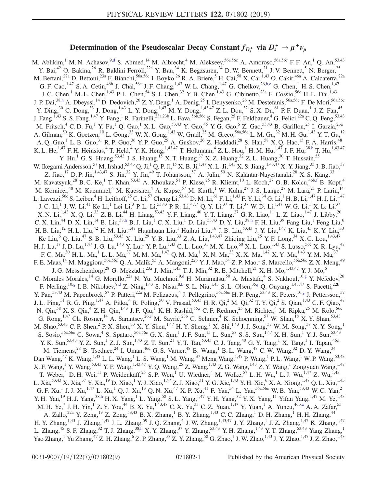## Determination of the Pseudoscalar Decay Constant  $f_{D_s^+}$  via  $D_s^+ \rightarrow \mu^+ \nu_\mu$

<span id="page-0-4"></span><span id="page-0-1"></span>M. Ablikim, <sup>1</sup> M. N. Achasov, <sup>9[,d](#page-6-0)</sup> S. Ahmed, <sup>14</sup> M. Albrecht, <sup>4</sup> M. Alekseev, <sup>56a, 56c</sup> A. Amoroso, <sup>56a, 56c</sup> F. F. An, <sup>1</sup> Q. An, <sup>53, 43</sup> Y. Bai,<sup>42</sup> O. Bakina,<sup>26</sup> R. Baldini Ferroli,<sup>22a</sup> Y. Ban,<sup>34</sup> K. Begzsuren,<sup>24</sup> D. W. Bennett,<sup>21</sup> J. V. Bennett,<sup>5</sup> N. Berger,<sup>25</sup> M. Bertani,<sup>22a</sup> D. Bettoni,<sup>23a</sup> F. Bianchi,<sup>56a,56c</sup> I. Boyko,<sup>26</sup> R. A. Briere,<sup>5</sup> H. Cai,<sup>58</sup> X. Cai,<sup>1,43</sup> O. Cakir,<sup>46a</sup> A. Calcaterra,<sup>22a</sup> G. F. Cao,  $^{1,47}$  S. A. Cetin,  $^{46b}$  J. Chai,  $^{56c}$  J. F. Chang,  $^{1,43}$  W. L. Chang,  $^{1,47}$  G. Chelkov,  $^{26,b,c}$  $^{26,b,c}$  $^{26,b,c}$  G. Chen,  $^{1}$  H. S. Chen,  $^{1,47}$ J. C. Chen,<sup>1</sup> M. L. Chen,<sup>1,43</sup> P. L. Chen,<sup>54</sup> S. J. Chen,<sup>32</sup> Y. B. Chen,<sup>1,43</sup> G. Cibinetto,<sup>23a</sup> F. Cossio,<sup>56c</sup> H. L. Dai,<sup>1,43</sup> J. P. Dai,<sup>3[8,h](#page-6-2)</sup> A. Dbeyssi,<sup>14</sup> D. Dedovich,<sup>26</sup> Z. Y. Deng,<sup>1</sup> A. Denig,<sup>25</sup> I. Denysenko,<sup>26</sup> M. Destefanis,<sup>56a,56c</sup> F. De Mori,<sup>56a,56c</sup> Y. Ding,<sup>30</sup> C. Dong,<sup>33</sup> J. Dong,<sup>1,43</sup> L. Y. Dong,<sup>1,47</sup> M. Y. Dong,<sup>1,43,47</sup> Z. L. Dou,<sup>32</sup> S. X. Du,<sup>61</sup> P. F. Duan,<sup>1</sup> J. Z. Fan,<sup>45</sup> J. Fang,<sup>1,43</sup> S. S. Fang,<sup>1,47</sup> Y. Fang,<sup>1</sup> R. Farinelli,<sup>23a,23b</sup> L. Fava,<sup>56b,56c</sup> S. Fegan,<sup>25</sup> F. Feldbauer,<sup>4</sup> G. Felici,<sup>22a</sup> C. Q. Feng,<sup>53,43</sup> M. Fritsch,<sup>4</sup> C. D. Fu,<sup>1</sup> Y. Fu,<sup>1</sup> Q. Gao,<sup>1</sup> X. L. Gao,<sup>53,43</sup> Y. Gao,<sup>45</sup> Y. G. Gao,<sup>6</sup> Z. Gao,<sup>53,43</sup> B. Garillon,<sup>25</sup> I. Garzia,<sup>23a</sup> A. Gilman,<sup>50</sup> K. Goetzen,<sup>10</sup> L. Gong,<sup>33</sup> W. X. Gong,<sup>1,43</sup> W. Gradl,<sup>25</sup> M. Greco,<sup>56a,56c</sup> L. M. Gu,<sup>32</sup> M. H. Gu,<sup>1,43</sup> Y. T. Gu,<sup>12</sup> A. Q. Guo,<sup>1</sup> L. B. Guo,<sup>31</sup> R. P. Guo,<sup>36</sup> Y. P. Guo,<sup>25</sup> A. Guskov,<sup>26</sup> Z. Haddadi,<sup>28</sup> S. Han,<sup>58</sup> X. Q. Hao,<sup>15</sup> F. A. Harris,<sup>48</sup> K. L. He,  $^{1,47}$  F. H. Heinsius,  $^{4}$  T. Held,  $^{4}$  Y. K. Heng,  $^{1,43,47}$  T. Holtmann,  $^{4}$  Z. L. Hou,  $^{1}$  H. M. Hu,  $^{1,47}$  J. F. Hu,  $^{38,h}$  $^{38,h}$  $^{38,h}$  T. Hu,  $^{1,43,47}$ Y. Hu,<sup>1</sup> G. S. Huang,  $53,43$  J. S. Huang,  $15$  X. T. Huang,  $37$  X. Z. Huang,  $32$  Z. L. Huang,  $30$  T. Hussain,  $55$ W. Ikegami Andersson,<sup>57</sup> M. Irshad,<sup>53,43</sup> Q. Ji,<sup>1</sup> Q. P. Ji,<sup>15</sup> X. B. Ji,<sup>1,47</sup> X. L. Ji,<sup>1,43</sup> X. S. Jiang,<sup>1,43,47</sup> X. Y. Jiang,<sup>33</sup> J. B. Jiao,<sup>37</sup> Z. Jiao, <sup>17</sup> D. P. Jin, <sup>1,43,47</sup> S. Jin,<sup>32</sup> Y. Jin,<sup>49</sup> T. Johansson,<sup>57</sup> A. Julin,<sup>50</sup> N. Kalantar-Nayestanaki,<sup>28</sup> X. S. Kang,<sup>33</sup> M. Kavatsyuk,<sup>28</sup> B. C. Ke,<sup>1</sup> T. Khan,<sup>53,43</sup> A. Khoukaz,<sup>51</sup> P. Kiese,<sup>25</sup> R. Kliemt,<sup>10</sup> L. Koch,<sup>27</sup> O. B. Kolcu,<sup>46b[,f](#page-6-3)</sup> B. Kopf,<sup>4</sup> M. Kornicer,<sup>48</sup> M. Kuemmel,<sup>4</sup> M. Kuessner,<sup>4</sup> A. Kupsc,<sup>57</sup> M. Kurth,<sup>1</sup> W. Kühn,<sup>27</sup> J. S. Lange,<sup>27</sup> M. Lara,<sup>21</sup> P. Larin,<sup>14</sup> L. Lavezzi,<sup>56c</sup> S. Leiber,<sup>4</sup> H. Leithoff,<sup>25</sup> C. Li,<sup>57</sup> Cheng Li,<sup>53,43</sup> D. M. Li,<sup>61</sup> F. Li,<sup>1,43</sup> F. Y. Li,<sup>34</sup> G. Li,<sup>1</sup> H. B. Li,<sup>1,47</sup> H. J. Li,<sup>1,47</sup> J. C. Li,<sup>1</sup> J. W. Li,<sup>41</sup> Ke Li,<sup>1</sup> Lei Li,<sup>3</sup> P. L. Li,<sup>53,43</sup> P. R. Li,<sup>47,7</sup> Q. Y. Li,<sup>37</sup> T. Li,<sup>37</sup> W. D. Li,<sup>1,47</sup> W. G. Li,<sup>1</sup> X. L. Li,<sup>37</sup> X. N. Li,<sup>1,43</sup> X. Q. Li,<sup>33</sup> Z. B. Li,<sup>44</sup> H. Liang,<sup>53,43</sup> Y. F. Liang,<sup>40</sup> Y. T. Liang,<sup>27</sup> G. R. Liao,<sup>11</sup> L. Z. Liao,<sup>1,47</sup> J. Libby,<sup>20</sup> C. X. Lin,<sup>44</sup> D. X. Lin,<sup>14</sup> B. Liu,<sup>38[,h](#page-6-2)</sup> B. J. Liu,<sup>1</sup> C. X. Liu,<sup>1</sup> D. Liu,<sup>53,43</sup> D. Y. Liu,<sup>3[8,h](#page-6-2)</sup> F. H. Liu,<sup>39</sup> Fang Liu,<sup>1</sup> Feng Liu,<sup>6</sup> H. B. Liu,  $^{12}$  H. L. Liu,  $^{42}$  H. M. Liu,  $^{1,47}$  Huanhuan Liu,  $^{1}$  Huihui Liu,  $^{16}$  J. B. Liu,  $^{53,43}$  J. Y. Liu,  $^{1,47}$  K. Liu,  $^{45}$  K. Y. Liu,  $^{30}$ Ke Liu,<sup>6</sup> Q. Liu,<sup>47</sup> S. B. Liu,<sup>53,43</sup> X. Liu,<sup>29</sup> Y. B. Liu,<sup>33</sup> Z. A. Liu,<sup>1,43,47</sup> Zhiqing Liu,<sup>25</sup> Y. F. Long,<sup>34</sup> X. C. Lou,<sup>1,43,47</sup> H. J. Lu,<sup>17</sup> J. D. Lu,<sup>1,47</sup> J. G. Lu,<sup>1,43</sup> Y. Lu,<sup>1</sup> Y. P. Lu,<sup>1,43</sup> C. L. Luo,<sup>31</sup> M. X. Luo,<sup>60</sup> X. L. Luo,<sup>1,43</sup> S. Lusso,<sup>56c</sup> X. R. Lyu,<sup>47</sup> F. C. Ma, $^{30}$  H. L. Ma, $^{1}$  L. L. Ma, $^{37}$  M. M. Ma, $^{1,47}$  Q. M. Ma, $^{1}$  X. N. Ma, $^{33}$  X. X. Ma, $^{1,47}$  X. Y. Ma, $^{1,43}$  Y. M. Ma, $^{37}$ F. E. Maas,<sup>14</sup> M. Maggiora,<sup>56a,56c</sup> Q. A. Malik,<sup>55</sup> A. Mangoni,<sup>22b</sup> Y. J. Mao,<sup>34</sup> Z. P. Mao,<sup>1</sup> S. Marcello,<sup>56a,56c</sup> Z. X. Meng,<sup>49</sup> J. G. Messchendorp,<sup>28</sup> G. Mezzadri,<sup>23a</sup> J. Min,<sup>1,43</sup> T. J. Min,<sup>32</sup> R. E. Mitchell,<sup>21</sup> X. H. Mo,<sup>1,43,47</sup> Y. J. Mo,<sup>6</sup> C. Morales Morales,<sup>14</sup> G. Morello,<sup>22a</sup> N. Yu. Muchnoi,<sup>[9,d](#page-6-0)</sup> H. Muramatsu,<sup>50</sup> A. Mustafa,<sup>4</sup> S. Nakhoul,<sup>10[,g](#page-6-4)</sup> Y. Nefedov,<sup>26</sup> F. Nerling,<sup>1[0,g](#page-6-4)</sup> I. B. Nikolaev,<sup>[9,d](#page-6-0)</sup> Z. Ning,<sup>1,43</sup> S. Nisar,<sup>8[,k](#page-7-0)</sup> S. L. Niu,<sup>1,43</sup> S. L. Olsen,<sup>35[,j](#page-7-1)</sup> Q. Ouyang,<sup>1,43,47</sup> S. Pacetti,<sup>22b</sup> Y. Pan, <sup>53,43</sup> M. Papenbrock, <sup>57</sup> P. Patteri, <sup>22a</sup> M. Pelizaeus, <sup>4</sup> J. Pellegrino, <sup>56a,56c</sup> H. P. Peng, <sup>53,43</sup> K. Peters, <sup>10[,g](#page-6-4)</sup> J. Pettersson, <sup>57</sup> J. L. Ping,<sup>31</sup> R. G. Ping,<sup>1,47</sup> A. Pitka,<sup>4</sup> R. Poling,<sup>50</sup> V. Prasad,<sup>53,43</sup> H. R. Qi,<sup>2</sup> M. Qi,<sup>32</sup> T. Y. Qi,<sup>2</sup> S. Qian,<sup>1,43</sup> C. F. Qiao,<sup>47</sup> N. Qin,<sup>58</sup> X. S. Qin,<sup>4</sup> Z. H. Qin,<sup>1,43</sup> J. F. Qiu,<sup>1</sup> K. H. Rashid,<sup>55[,i](#page-7-2)</sup> C. F. Redmer,<sup>25</sup> M. Richter,<sup>4</sup> M. Ripka,<sup>25</sup> M. Rolo,<sup>56c</sup> G. Rong,  $^{1,47}$  Ch. Rosner,  $^{14}$  A. Sarantsev,  $^{26,e}$  $^{26,e}$  $^{26,e}$  M. Savrié,  $^{23b}$  C. Schnier,  $^4$  K. Schoenning,  $^{57}$  W. Shan,  $^{18}$  X. Y. Shan,  $^{53,43}$ M. Shao,  $53,43$  C. P. Shen,  $^{2}$  P. X. Shen,  $33$  X. Y. Shen,  $1,47$  H. Y. Sheng,  $^{1}$  X. Shi,  $1,43$  J. J. Song,  $37$  W. M. Song,  $37$  X. Y. Song,  $^{1}$ S. Sosio,<sup>56a,56c</sup> C. Sowa,<sup>4</sup> S. Spataro,<sup>56a,56c</sup> G. X. Sun,<sup>1</sup> J. F. Sun,<sup>15</sup> L. Sun,<sup>58</sup> S. S. Sun,<sup>1,47</sup> X. H. Sun,<sup>1</sup> Y. J. Sun,<sup>53,43</sup> Y. K. Sun,<sup>53,43</sup> Y. Z. Sun,<sup>1</sup> Z. J. Sun,<sup>1,43</sup> Z. T. Sun,<sup>21</sup> Y. T. Tan,<sup>53,43</sup> C. J. Tang,<sup>40</sup> G. Y. Tang,<sup>1</sup> X. Tang,<sup>1</sup> I. Tapan,<sup>46c</sup> M. Tiemens,<sup>28</sup> B. Tsednee,<sup>24</sup> I. Uman,<sup>46d</sup> G. S. Varner,<sup>48</sup> B. Wang,<sup>1</sup> B. L. Wang,<sup>47</sup> C. W. Wang,<sup>32</sup> D. Y. Wang,<sup>34</sup> Dan Wang,<sup>47</sup> K. Wang,<sup>1,43</sup> L. L. Wang,<sup>1</sup> L. S. Wang,<sup>1</sup> M. Wang,<sup>37</sup> Meng Wang,<sup>1,47</sup> P. Wang,<sup>1</sup> P. L. Wang,<sup>1</sup> W. P. Wang,<sup>53,43</sup> X. F. Wang, <sup>1</sup> Y. Wang, <sup>53,43</sup> Y. F. Wang, <sup>1,43,47</sup> Y. Q. Wang, <sup>25</sup> Z. Wang, <sup>1,43</sup> Z. G. Wang, <sup>1,43</sup> Z. Y. Wang, <sup>1</sup> Zongyuan Wang, <sup>1,47</sup> T. Weber,<sup>4</sup> D. H. Wei,<sup>11</sup> P. Weidenkaff,<sup>25</sup> S. P. Wen,<sup>1</sup> U. Wiedner,<sup>4</sup> M. Wolke,<sup>57</sup> L. H. Wu,<sup>1</sup> L. J. Wu,<sup>1,47</sup> Z. Wu,<sup>1,43</sup> L. Xia,<sup>53,43</sup> X. Xia,<sup>37</sup> Y. Xia,<sup>19</sup> D. Xiao,<sup>1</sup> Y. J. Xiao,<sup>1,47</sup> Z. J. Xiao,<sup>31</sup> Y. G. Xie,<sup>1,43</sup> Y. H. Xie,<sup>6</sup> X. A. Xiong,<sup>1,47</sup> Q. L. Xiu,<sup>1,43</sup> G. F. Xu,<sup>1</sup> J. J. Xu,<sup>1,47</sup> L. Xu,<sup>1</sup> Q. J. Xu,<sup>13</sup> Q. N. Xu,<sup>47</sup> X. P. Xu,<sup>41</sup> F. Yan,<sup>54</sup> L. Yan,<sup>56a,56c</sup> W. B. Yan,<sup>53,43</sup> W. C. Yan,<sup>2</sup> Y. H. Yan,<sup>19</sup> H. J. Yang,<sup>38[,h](#page-6-2)</sup> H. X. Yang,<sup>1</sup> L. Yang,<sup>58</sup> S. L. Yang,<sup>1,47</sup> Y. H. Yang,<sup>32</sup> Y. X. Yang,<sup>11</sup> Yifan Yang,<sup>1,47</sup> M. Ye,<sup>1,43</sup> M. H. Ye,<sup>7</sup> J. H. Yin,<sup>1</sup> Z. Y. You,<sup>44</sup> B. X. Yu,<sup>1,43,47</sup> C. X. Yu,<sup>33</sup> C. Z. Yuan,<sup>1,47</sup> Y. Yuan,<sup>1</sup> A. Yuncu,<sup>46b[,a](#page-6-6)</sup> A. A. Zafar,<sup>55</sup> A. Zallo,<sup>22a</sup> Y. Zeng,<sup>19</sup> Z. Zeng,<sup>53,43</sup> B. X. Zhang,<sup>1</sup> B. Y. Zhang,<sup>1,43</sup> C. C. Zhang,<sup>1</sup> D. H. Zhang,<sup>1</sup> H. H. Zhang,<sup>44</sup> H. Y. Zhang,<sup>1,43</sup> J. Zhang,<sup>1,47</sup> J. L. Zhang,<sup>59</sup> J. Q. Zhang,<sup>4</sup> J. W. Zhang,<sup>1,43,47</sup> J. Y. Zhang,<sup>1</sup> J. Z. Zhang,<sup>1,47</sup> K. Zhang,<sup>1,47</sup> L. Zhang,<sup>45</sup> S. F. Zhang,<sup>32</sup> T. J. Zhang,<sup>3[8,h](#page-6-2)</sup> X. Y. Zhang,<sup>37</sup> Y. Zhang,<sup>53,43</sup> Y. H. Zhang,<sup>1,43</sup> Y. T. Zhang,<sup>53,43</sup> Yang Zhang,<sup>1</sup> Yao Zhang,<sup>1</sup> Yu Zhang,<sup>47</sup> Z. H. Zhang,<sup>6</sup> Z. P. Zhang,<sup>53</sup> Z. Y. Zhang,<sup>58</sup> G. Zhao,<sup>1</sup> J. W. Zhao,<sup>1,43</sup> J. Y. Zhao,<sup>1,47</sup> J. Z. Zhao,<sup>1,43</sup>

<span id="page-0-7"></span><span id="page-0-6"></span><span id="page-0-5"></span><span id="page-0-3"></span><span id="page-0-2"></span><span id="page-0-0"></span>0031-9007/19/122(7)/071802(9) 071802-1 Published by the American Physical Society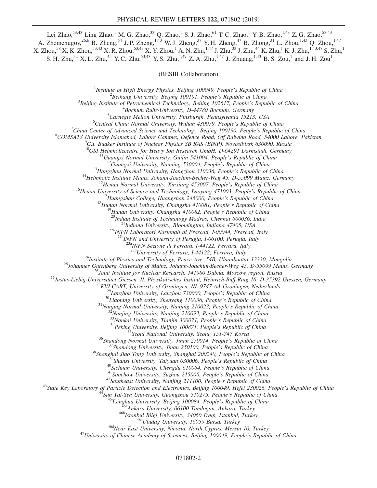Lei Zhao,<sup>53,43</sup> Ling Zhao,<sup>1</sup> M. G. Zhao,<sup>33</sup> Q. Zhao,<sup>1</sup> S. J. Zhao,<sup>61</sup> T. C. Zhao,<sup>1</sup> Y. B. Zhao,<sup>1,43</sup> Z. G. Zhao,<sup>53,43</sup> A. Zhemchugov,<sup>26[,b](#page-6-1)</sup> B. Zheng,<sup>54</sup> J. P. Zheng,<sup>1,43</sup> W. J. Zheng,<sup>37</sup> Y. H. Zheng,<sup>47</sup> B. Zhong,<sup>31</sup> L. Zhou,<sup>1,43</sup> Q. Zhou,<sup>1,47</sup>  $X$ . Zhou, $^{58}$  X. K. Zhou, $^{53,43}$  X. R. Zhou, $^{53,43}$  X. Y. Zhou, $^{1}$  A. N. Zhu, $^{1,47}$  J. Zhu, $^{33}$  J. Zhu, $^{44}$  K. Zhu, $^{1}$  K. J. Zhu, $^{1,43,47}$  S. Zhu, $^{1}$ S. H. Zhu,<sup>52</sup> X. L. Zhu,<sup>45</sup> Y. C. Zhu,<sup>53,43</sup> Y. S. Zhu,<sup>1,47</sup> Z. A. Zhu,<sup>1,47</sup> J. Zhuang,<sup>1,43</sup> B. S. Zou,<sup>1</sup> and J. H. Zou<sup>1</sup>

(BESIII Collaboration)

<sup>1</sup>Institute of High Energy Physics, Beijing 100049, People's Republic of China  $\frac{2 \text{Poibana}}{2}$ 

 $^2$ Beihang University, Beijing 100191, People's Republic of China

 $3$ Beijing Institute of Petrochemical Technology, Beijing 102617, People's Republic of China

 $^{4}$ Bochum Ruhr-University, D-44780 Bochum, Germany

 ${}^{5}$ Carnegie Mellon University, Pittsburgh, Pennsylvania 15213, USA

 ${}^{6}$ Central China Normal University, Wuhan 430079, People's Republic of China

<sup>7</sup>China Center of Advanced Science and Technology, Beijing 100190, People's Republic of China

<sup>8</sup>COMSATS University Islamabad, Lahore Campus, Defence Road, Off Raiwind Road, 54000 Lahore, Pakistan

 $^{9}$ G.I. Budker Institute of Nuclear Physics SB RAS (BINP), Novosibirsk 630090, Russia<br><sup>10</sup>GSI Helmholtzcentre for Heavy Ion Research GmbH, D-64291 Darmstadt, Germany

<sup>10</sup>GSI Helmholtzcentre for Heavy Ion Research GmbH, D-64291 Darmstadt, Germany<br><sup>11</sup>Guangxi Normal University, Guilin 541004, People's Republic of China<br><sup>12</sup>Guangxi University, Nanning 530004, People's Republic of China<br><sup></sup>

<sup>22a</sup>INFN Laboratori Nazionali di Frascati, I-00044, Frascati, Italy<br><sup>22b</sup>INFN and University of Perugia, I-06100, Perugia, Italy

 $\frac{^{23a}NFN}{^{23b}University}$  of Ferrara, 1-44122, Ferrara, Italy  $\frac{^{23b}University}$  of Ferrara, 1-44122, Ferrara, Italy

<sup>25</sup>Institute of Physics and Technology, Peara. 144122. Ferrara, Italy<br><sup>25</sup>Institute of Physics and Technology, Peara. Assoc. 1981, Ulaambadar 13330, Mongolia<br><sup>25</sup>Iohannes Guitent Istitute for Nuclear Research. 141980 Dubn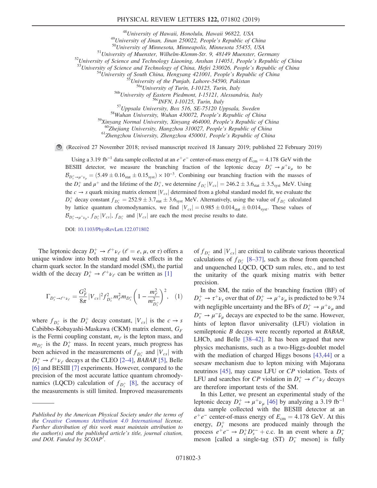## PHYSICAL REVIEW LETTERS 122, 071802 (2019)

<sup>48</sup>University of Hawaii, Honolulu, Hawaii 96822, USA<br><sup>49</sup>University of Jinan, Jinan 250022, People's Republic of China<br><sup>50</sup>University of Minnesota, Minneapolis, Minnesota 55455, USA<br><sup>51</sup>University of Muenster, Wilhelm-Kl

 $560$ Zhejiang University, Hangzhou 310027, People's Republic of China 6<sup>1</sup>Zhengzhou University, Zhengzhou 450001, People's Republic of China

(Received 27 November 2018; revised manuscript received 18 January 2019; published 22 February 2019)

Using a 3.19 fb<sup>-1</sup> data sample collected at an  $e^+e^-$  center-of-mass energy of  $E_{cm} = 4.178$  GeV with the BESIII detector, we measure the branching fraction of the leptonic decay  $D_s^+ \rightarrow \mu^+ \nu_\mu$  to be  $\mathcal{B}_{D_s^+\to\mu^+\nu_\mu} = (5.49\pm0.16_{\text{stat}}\pm0.15_{\text{syst}})\times10^{-3}$ . Combining our branching fraction with the masses of the  $D_s^+$  and  $\mu^+$  and the lifetime of the  $D_s^+$ , we determine  $f_{D_s^+}|V_{cs}| = 246.2 \pm 3.6$ <sub>stat</sub>  $\pm 3.5$ <sub>syst</sub> MeV. Using the  $c \rightarrow s$  quark mixing matrix element  $|V_{cs}|$  determined from a global standard model fit, we evaluate the  $D_s^+$  decay constant  $f_{D_s^+} = 252.9 \pm 3.7$ <sub>stat</sub>  $\pm 3.6$ <sub>syst</sub> MeV. Alternatively, using the value of  $f_{D_s^+}$  calculated by lattice quantum chromodynamics, we find  $|V_{cs}| = 0.985 \pm 0.014_{stat} \pm 0.014_{syst}$ . These values of  $\mathcal{B}_{D_s^+\to\mu^+\nu_\mu}$ ,  $f_{D_s^+}|V_{cs}|$ ,  $f_{D_s^+}$  and  $|V_{cs}|$  are each the most precise results to date.

DOI: [10.1103/PhysRevLett.122.071802](https://doi.org/10.1103/PhysRevLett.122.071802)

<span id="page-2-0"></span>The leptonic decay  $D_s^+ \rightarrow \ell^+ \nu_\ell$  ( $\ell = e, \mu$ , or  $\tau$ ) offers a unique window into both strong and weak effects in the charm quark sector. In the standard model (SM), the partial width of the decay  $D_s^+ \rightarrow \ell^+ \nu_\ell$  can be written as [\[1\]](#page-7-3)

$$
\Gamma_{D_s^+ \to \ell^+ \nu_\ell} = \frac{G_F^2}{8\pi} |V_{cs}|^2 f_{D_s^+}^2 m_\ell^2 m_{D_s^+} \left(1 - \frac{m_\ell^2}{m_{D_s^+}^2}\right)^2, \quad (1)
$$

where  $f_{D_s^+}$  is the  $D_s^+$  decay constant,  $|V_{cs}|$  is the  $c \to s$ Cabibbo-Kobayashi-Maskawa (CKM) matrix element,  $G_F$ is the Fermi coupling constant,  $m_\ell$  is the lepton mass, and  $m_{D_s^+}$  is the  $D_s^+$  mass. In recent years, much progress has been achieved in the measurements of  $f_{D_s^+}$  and  $|V_{cs}|$  with  $D_s^+ \rightarrow \ell^+ \nu_\ell$  decays at the CLEO [2–[4\]](#page-7-4), BABAR [\[5\]](#page-7-5), Belle [\[6\]](#page-7-6) and BESIII [\[7\]](#page-7-7) experiments. However, compared to the precision of the most accurate lattice quantum chromodynamics (LQCD) calculation of  $f_{D_s^+}$  [\[8\]](#page-7-8), the accuracy of the measurements is still limited. Improved measurements

of  $f_{D_s^+}$  and  $|V_{cs}|$  are critical to calibrate various theoretical calculations of  $f_{D_s^+}$  [8–[37\],](#page-7-8) such as those from quenched and unquenched LQCD, QCD sum rules, etc., and to test the unitarity of the quark mixing matrix with better precision.

In the SM, the ratio of the branching fraction (BF) of  $D_s^+ \rightarrow \tau^+ \nu_{\tau}$  over that of  $D_s^+ \rightarrow \mu^+ \nu_{\mu}$  is predicted to be 9.74 with negligible uncertainty and the BFs of  $D_s^+ \rightarrow \mu^+ \nu_\mu$  and  $D_s^- \to \mu^- \bar{\nu}_\mu$  decays are expected to be the same. However, hints of lepton flavor universality (LFU) violation in semileptonic B decays were recently reported at BABAR, LHCb, and Belle [\[38](#page-7-9)–42]. It has been argued that new physics mechanisms, such as a two-Higgs-doublet model with the mediation of charged Higgs bosons [\[43,44\]](#page-7-10) or a seesaw mechanism due to lepton mixing with Majorana neutrinos [\[45\],](#page-7-11) may cause LFU or CP violation. Tests of LFU and searches for CP violation in  $D_s^+ \rightarrow e^+ \nu_e$  decays are therefore important tests of the SM.

In this Letter, we present an experimental study of the leptonic decay  $D_s^+ \rightarrow \mu^+ \nu_\mu$  [\[46\]](#page-7-12) by analyzing a 3.19 fb<sup>-1</sup> data sample collected with the BESIII detector at an  $e^+e^-$  center-of-mass energy of  $E_{cm} = 4.178$  GeV. At this energy,  $D_s^+$  mesons are produced mainly through the process  $e^+e^- \rightarrow D_s^+D_s^{*-} + \text{c.c.}$  In an event where a  $D_s^$ meson [called a single-tag (ST)  $D_s^-$  meson] is fully

Published by the American Physical Society under the terms of the [Creative Commons Attribution 4.0 International](https://creativecommons.org/licenses/by/4.0/) license. Further distribution of this work must maintain attribution to the author(s) and the published article's title, journal citation, and DOI. Funded by SCOAP<sup>3</sup>.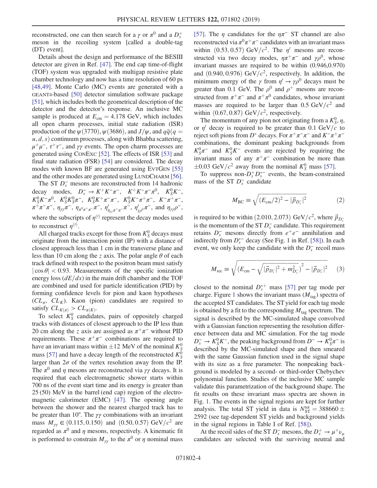reconstructed, one can then search for a  $\gamma$  or  $\pi^0$  and a  $D_s^+$ meson in the recoiling system [called a double-tag (DT) event].

Details about the design and performance of the BESIII detector are given in Ref. [\[47\].](#page-7-13) The end cap time-of-flight (TOF) system was upgraded with multigap resistive plate chamber technology and now has a time resolution of 60 ps [\[48,49\]](#page-7-14). Monte Carlo (MC) events are generated with a GEANT4-based [\[50\]](#page-7-15) detector simulation software package [\[51\]](#page-7-16), which includes both the geometrical description of the detector and the detector's response. An inclusive MC sample is produced at  $E_{cm} = 4.178$  GeV, which includes all open charm processes, initial state radiation (ISR) production of the  $\psi(3770)$ ,  $\psi(3686)$ , and  $J/\psi$ , and  $q\bar{q}(q=$  $u, d, s$  continuum processes, along with Bhabha scattering,  $μ<sup>+</sup>μ<sup>-</sup>$ ,  $τ<sup>+</sup>τ<sup>-</sup>$ , and γγ events. The open charm processes are generated using CONEXC [\[52\]](#page-7-17). The effects of ISR [\[53\]](#page-7-18) and final state radiation (FSR) [\[54\]](#page-8-0) are considered. The decay modes with known BF are generated using EVTGEN [\[55\]](#page-8-1) and the other modes are generated using LUNDCHARM [\[56\]](#page-8-2).

The ST  $D_s^-$  mesons are reconstructed from 14 hadronic decay modes,  $D_s^- \to K^+ K^- \pi^-$ ,  $K^+ K^- \pi^- \pi^0$ ,  $K_S^0 K^-$ ,  $K_S^0 K^- \pi^0$ ,  $K_S^0 K_S^0 \pi^-$ ,  $K_S^0 K^+ \pi^- \pi^-$ ,  $K_S^0 K^- \pi^+ \pi^-$ ,  $K^- \pi^+ \pi^-$ ,  $\pi^+\pi^-\pi^-$ ,  $\eta_{\gamma\gamma}\pi^-$ ,  $\eta_{\pi^0\pi^+\pi^-}\pi^-$ ,  $\eta_{\eta_{\gamma\gamma}\pi^+\pi^-}\pi^-$ ,  $\eta_{\gamma\rho'0}'\pi^-$ , and  $\eta_{\gamma\gamma}\rho^-$ , where the subscripts of  $\eta^{(l)}$  represent the decay modes used to reconstruct  $\eta^{(1)}$ .

All charged tracks except for those from  $K_S^0$  decays must originate from the interaction point (IP) with a distance of closest approach less than 1 cm in the transverse plane and less than 10 cm along the z axis. The polar angle  $\theta$  of each track defined with respect to the positron beam must satisfy  $|\cos \theta|$  < 0.93. Measurements of the specific ionization energy loss  $\left(dE/dx\right)$  in the main drift chamber and the TOF are combined and used for particle identification (PID) by forming confidence levels for pion and kaon hypotheses  $CL_{\pi}$ ,  $CL_{K}$ ). Kaon (pion) candidates are required to satisfy  $CL_{K(\pi)} > CL_{\pi(K)}$ .

To select  $K_S^0$  candidates, pairs of oppositely charged tracks with distances of closest approach to the IP less than 20 cm along the z axis are assigned as  $\pi^+\pi^-$  without PID requirements. These  $\pi^+\pi^-$  combinations are required to have an invariant mass within  $\pm 12$  MeV of the nominal  $K^0_{S}$ mass [\[57\]](#page-8-3) and have a decay length of the reconstructed  $K_S^0$ larger than  $2\sigma$  of the vertex resolution away from the IP. The  $\pi^0$  and  $\eta$  mesons are reconstructed via  $\gamma\gamma$  decays. It is required that each electromagnetic shower starts within 700 ns of the event start time and its energy is greater than 25 (50) MeV in the barrel (end cap) region of the electromagnetic calorimeter (EMC) [\[47\].](#page-7-13) The opening angle between the shower and the nearest charged track has to be greater than 10°. The  $\gamma\gamma$  combinations with an invariant mass  $M_{\gamma\gamma} \in (0.115, 0.150)$  and  $(0.50, 0.57) \text{ GeV}/c^2$  are regarded as  $\pi^0$  and  $\eta$  mesons, respectively. A kinematic fit is performed to constrain  $M_{\gamma\gamma}$  to the  $\pi^0$  or  $\eta$  nominal mass [\[57\]](#page-8-3). The  $\eta$  candidates for the  $\eta \pi$ <sup>-</sup> ST channel are also reconstructed via  $\pi^0 \pi^+ \pi^-$  candidates with an invariant mass within  $(0.53, 0.57)$  GeV/ $c^2$ . The  $\eta'$  mesons are reconstructed via two decay modes,  $\eta \pi^+ \pi^-$  and  $\gamma \rho^0$ , whose invariant masses are required to be within (0.946,0.970) and  $(0.940, 0.976)$  GeV/ $c^2$ , respectively. In addition, the minimum energy of the  $\gamma$  from  $\eta' \rightarrow \gamma \rho^0$  decays must be greater than 0.1 GeV. The  $\rho^0$  and  $\rho^+$  mesons are reconstructed from  $\pi^+\pi^-$  and  $\pi^+\pi^0$  candidates, whose invariant masses are required to be larger than  $0.5 \text{ GeV}/c^2$  and within  $(0.67, 0.87)$  GeV/ $c^2$ , respectively.

The momentum of any pion not originating from a  $K_S^0$ ,  $\eta$ , or  $\eta'$  decay is required to be greater than 0.1 GeV/c to reject soft pions from D<sup>\*</sup> decays. For  $\pi^+\pi^-\pi^-$  and  $K^-\pi^+\pi^$ combinations, the dominant peaking backgrounds from  $K_S^0 \pi^-$  and  $K_S^0 K^-$  events are rejected by requiring the invariant mass of any  $\pi^+\pi^-$  combination be more than  $\pm 0.03$  GeV/ $c^2$  away from the nominal  $K_S^0$  mass [\[57\].](#page-8-3)

To suppress non- $D_s^+ D_s^{*-}$  events, the beam-constrained mass of the ST  $D_s^-$  candidate

$$
M_{\rm BC} \equiv \sqrt{(E_{\rm cm}/2)^2 - |\vec{p}_{D_s^-}|^2} \tag{2}
$$

is required to be within  $(2.010, 2.073)$  GeV/ $c^2$ , where  $\vec{p}_{D_s^-}$ is the momentum of the ST  $D_s^-$  candidate. This requirement retains  $D_s^-$  mesons directly from  $e^+e^-$  annihilation and indirectly from  $D_s^{*-}$  decay (See Fig. 1 in Ref. [\[58\]](#page-8-4)). In each event, we only keep the candidate with the  $D_s^-$  recoil mass

$$
M_{\rm rec} \equiv \sqrt{(E_{\rm cm} - \sqrt{|\vec{p}_{D_s^-}|^2 + m_{D_s^-}^2})^2 - |\vec{p}_{D_s^-}|^2} \qquad (3)
$$

closest to the nominal  $D_s^{*+}$  mass [\[57\]](#page-8-3) per tag mode per charge. Figure [1](#page-4-0) shows the invariant mass  $(M<sub>tag</sub>)$  spectra of the accepted ST candidates. The ST yield for each tag mode is obtained by a fit to the corresponding  $M_{\text{tag}}$  spectrum. The signal is described by the MC-simulated shape convolved with a Gaussian function representing the resolution difference between data and MC simulation. For the tag mode  $D_s^- \to K_S^0 K^-$ , the peaking background from  $D^- \to K_S^0 \pi^-$  is described by the MC-simulated shape and then smeared with the same Gaussian function used in the signal shape with its size as a free parameter. The nonpeaking background is modeled by a second- or third-order Chebychev polynomial function. Studies of the inclusive MC sample validate this parametrization of the background shape. The fit results on these invariant mass spectra are shown in Fig. [1.](#page-4-0) The events in the signal regions are kept for further analysis. The total ST yield in data is  $N_{ST}^{tot} = 388660 \pm$ 2592 (see tag-dependent ST yields and background yields in the signal regions in Table I of Ref. [\[58\]\)](#page-8-4).

At the recoil sides of the ST  $D_s^-$  mesons, the  $D_s^+ \to \mu^+ \nu_\mu$ candidates are selected with the surviving neutral and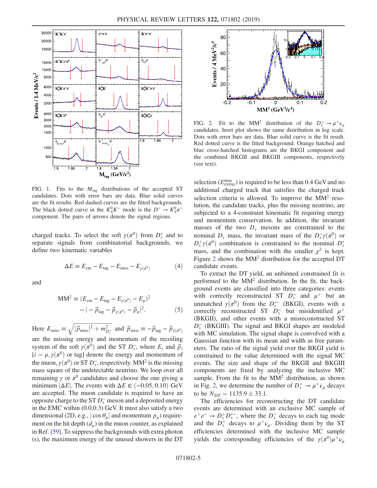<span id="page-4-0"></span>

FIG. 1. Fits to the  $M_{\text{tag}}$  distributions of the accepted ST candidates. Dots with error bars are data. Blue solid curves are the fit results. Red dashed curves are the fitted backgrounds. The black dotted curve in the  $K_S^0 K^-$  mode is the  $D^- \rightarrow K_S^0 \pi^$ component. The pairs of arrows denote the signal regions.

charged tracks. To select the soft  $\gamma(\pi^0)$  from  $D_s^*$  and to separate signals from combinatorial backgrounds, we define two kinematic variables

$$
\Delta E \equiv E_{\rm cm} - E_{\rm tag} - E_{\rm miss} - E_{\gamma(\pi^0)} \tag{4}
$$

and

$$
\text{MM}^2 \equiv (E_{\text{cm}} - E_{\text{tag}} - E_{\gamma(\pi^0)} - E_{\mu})^2
$$

$$
- | - \vec{p}_{\text{tag}} - \vec{p}_{\gamma(\pi^0)} - \vec{p}_{\mu}|^2. \tag{5}
$$

Here  $E_{\text{miss}} \equiv \sqrt{|\vec{p}_{\text{miss}}|^2 + m_{D_s^+}^2}$  and  $\vec{p}_{\text{miss}} \equiv -\vec{p}_{\text{tag}} - \vec{p}_{\gamma(\pi^0)}$ are the missing energy and momentum of the recoiling system of the soft  $\gamma(\pi^0)$  and the ST  $D_s^-$ , where  $E_i$  and  $\vec{p}_i$  $[i = \mu, \gamma(\pi^0)$  or tag] denote the energy and momentum of the muon,  $\gamma(\pi^0)$  or ST  $D_s^-$ , respectively. MM<sup>2</sup> is the missing mass square of the undetectable neutrino. We loop over all remaining  $\gamma$  or  $\pi^0$  candidates and choose the one giving a minimum  $|\Delta E|$ . The events with  $\Delta E \in (-0.05, 0.10)$  GeV are accepted. The muon candidate is required to have an opposite charge to the ST  $D_s^-$  meson and a deposited energy in the EMC within (0.0,0.3) GeV. It must also satisfy a two dimensional (2D, e.g.,  $|\cos \theta_{\mu}|$  and momentum  $p_{\mu}$ ) requirement on the hit depth  $(d_u)$  in the muon counter, as explained in Ref. [\[59\]](#page-8-5). To suppress the backgrounds with extra photon (s), the maximum energy of the unused showers in the DT

<span id="page-4-1"></span>

FIG. 2. Fit to the MM<sup>2</sup> distribution of the  $D_s^+ \rightarrow \mu^+ \nu_\mu$ candidates. Inset plot shows the same distribution in log scale. Dots with error bars are data. Blue solid curve is the fit result. Red dotted curve is the fitted background. Orange hatched and blue cross-hatched histograms are the BKGI component and the combined BKGII and BKGIII components, respectively (see text).

selection ( $E_{\text{extra}\gamma}^{\text{max}}$ ) is required to be less than 0.4 GeV and no additional charged track that satisfies the charged track selection criteria is allowed. To improve the  $MM^2$  resolution, the candidate tracks, plus the missing neutrino, are subjected to a 4-constraint kinematic fit requiring energy and momentum conservation. In addition, the invariant masses of the two  $D<sub>s</sub>$  mesons are constrained to the nominal  $D_s$  mass, the invariant mass of the  $D_s^- \gamma(\pi^0)$  or  $D_s^+\gamma(\pi^0)$  combination is constrained to the nominal  $D_s^*$ mass, and the combination with the smaller  $\chi^2$  is kept. Figure [2](#page-4-1) shows the MM<sup>2</sup> distribution for the accepted DT candidate events.

To extract the DT yield, an unbinned constrained fit is performed to the MM<sup>2</sup> distribution. In the fit, the background events are classified into three categories: events with correctly reconstructed ST  $D_s^-$  and  $\mu^+$  but an unmatched  $\gamma(\pi^0)$  from the  $D_s^{*-}$  (BKGI), events with a correctly reconstructed ST  $\overline{D_s}$  but misidentified  $\mu^+$ (BKGII), and other events with a misreconstructed ST  $D<sub>s</sub>$  (BKGIII). The signal and BKGI shapes are modeled with MC simulation. The signal shape is convolved with a Gaussian function with its mean and width as free parameters. The ratio of the signal yield over the BKGI yield is constrained to the value determined with the signal MC events. The size and shape of the BKGII and BKGIII components are fixed by analyzing the inclusive MC sample. From the fit to the  $MM^2$  distribution, as shown in Fig. [2,](#page-4-1) we determine the number of  $D_s^+ \rightarrow \mu^+ \nu_\mu$  decays to be  $N_{\text{DT}} = 1135.9 \pm 33.1.$ 

The efficiencies for reconstructing the DT candidate events are determined with an exclusive MC sample of  $e^+e^- \rightarrow D_s^+D_s^{*-}$ , where the  $D_s^-$  decays to each tag mode and the  $D_s^+$  decays to  $\mu^+ \nu_\mu$ . Dividing them by the ST efficiencies determined with the inclusive MC sample yields the corresponding efficiencies of the  $\gamma(\pi^0)\mu^+\nu_\mu$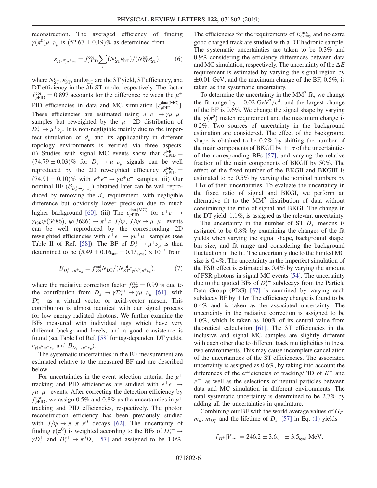reconstruction. The averaged efficiency of finding  $\gamma(\pi^0)\mu^+\nu_\mu$  is  $(52.67 \pm 0.19)\%$  as determined from

$$
\varepsilon_{\gamma(\pi^0)\mu^+\nu_\mu} = f_{\mu\text{PID}}^{\text{cor}} \sum_i (N_{\text{ST}}^i e_{\text{DT}}^i) / (N_{\text{ST}}^{\text{tot}} e_{\text{ST}}^i),\tag{6}
$$

where  $N_{\text{ST}}^i$ ,  $\varepsilon_{\text{ST}}^i$ , and  $\varepsilon_{\text{DT}}^i$  are the ST yield, ST efficiency, and DT efficiency in the ith ST mode, respectively. The factor  $f_{\mu \text{PID}}^{\text{cor}} = 0.897$  accounts for the difference between the  $\mu^+$ PID efficiencies in data and MC simulation  $[\varepsilon_{\mu \text{PID}}^{\text{data}(\text{MC})}]$ . These efficiencies are estimated using  $e^+e^- \rightarrow \gamma \mu^+ \mu^$ samples but reweighted by the  $\mu^+$  2D distribution of  $D_s^+ \rightarrow \mu^+ \nu_\mu$ . It is non-negligible mainly due to the imperfect simulation of  $d_{\mu}$  and its applicability in different topology environments is verified via three aspects: (i) Studies with signal MC events show that  $\varepsilon_{\mu \text{PID}}^{\text{MC}} =$  $(74.79 \pm 0.03)\%$  for  $D_s^+ \rightarrow \mu^+ \nu_\mu$  signals can be well reproduced by the 2D reweighted efficiency  $\varepsilon_{\mu \text{PID}}^{\text{MC}} =$  $(74.91 \pm 0.10)\%$  with  $e^+e^- \rightarrow \gamma \mu^+ \mu^-$  samples. (ii) Our nominal BF  $(\mathcal{B}_{D_s^+\to\mu^+\nu_\mu})$  obtained later can be well reproduced by removing the  $d_u$  requirement, with negligible difference but obviously lower precision due to much higher background [\[60\].](#page-8-6) (iii) The  $\varepsilon_{\mu \text{PID}}^{\text{data}(\text{MC})}$  for  $e^+e^- \rightarrow$  $\gamma_{\rm ISR}\psi(3686), \psi(3686) \rightarrow \pi^{+}\pi^{-}J/\psi, J/\psi \rightarrow \mu^{+}\mu^{-}$  events can be well reproduced by the corresponding 2D reweighted efficiencies with  $e^+e^- \rightarrow \gamma \mu^+ \mu^-$  samples (see Table II of Ref. [\[58\]](#page-8-4)). The BF of  $D_s^+ \rightarrow \mu^+ \nu_\mu$  is then determined to be  $(5.49 \pm 0.16<sub>stat</sub> \pm 0.15<sub>syst</sub>) \times 10<sup>-3</sup>$  from

$$
\mathcal{B}_{D_s^+ \to \mu^+ \nu_\mu} = f_{\text{cor}}^{\text{rad}} N_{\text{DT}} / (N_{\text{ST}}^{\text{tot}} \varepsilon_{\gamma(\pi^0)\mu^+ \nu_\mu}), \tag{7}
$$

where the radiative correction factor  $f_{\text{cor}}^{\text{rad}} = 0.99$  is due to the contribution from  $D_s^+ \to \gamma D_s^{*+} \to \gamma \mu^+ \nu_\mu$  [\[61\],](#page-8-7) with  $\mathcal{D}_s^{*+}$  as a virtual vector or axial-vector meson. This contribution is almost identical with our signal process for low energy radiated photons. We further examine the BFs measured with individual tags which have very different background levels, and a good consistence is found (see Table I of Ref. [\[58\]](#page-8-4) for tag-dependent DT yields,  $\varepsilon_{\gamma(\pi^0)\mu^+\nu_\mu}$  and  $\mathcal{B}_{D_s^+\to\mu^+\nu_\mu}$ ).

The systematic uncertainties in the BF measurement are estimated relative to the measured BF and are described below.

For uncertainties in the event selection criteria, the  $\mu^+$ tracking and PID efficiencies are studied with  $e^+e^- \rightarrow$  $\gamma \mu^+ \mu^-$  events. After correcting the detection efficiency by  $f_{\mu\text{PID}}^{\text{cor}}$ , we assign 0.5% and 0.8% as the uncertainties in  $\mu^{+}$ tracking and PID efficiencies, respectively. The photon reconstruction efficiency has been previously studied with  $J/\psi \rightarrow \pi^+\pi^-\pi^0$  decays [\[62\].](#page-8-8) The uncertainty of finding  $\gamma(\pi^0)$  is weighted according to the BFs of  $D_s^{*+} \to$  $\gamma D_s^+$  and  $D_s^{*+} \rightarrow \pi^0 D_s^+$  [\[57\]](#page-8-3) and assigned to be 1.0%.

The efficiencies for the requirements of  $E_{\text{extray}}^{\text{max}}$  and no extra good charged track are studied with a DT hadronic sample. The systematic uncertainties are taken to be 0.3% and 0.9% considering the efficiency differences between data and MC simulation, respectively. The uncertainty of the  $\Delta E$ requirement is estimated by varying the signal region by  $\pm 0.01$  GeV, and the maximum change of the BF, 0.5%, is taken as the systematic uncertainty.

To determine the uncertainty in the  $MM^2$  fit, we change the fit range by  $\pm 0.02 \text{ GeV}^2/c^4$ , and the largest change of the BF is 0.6%. We change the signal shape by varying the  $\gamma(\pi^0)$  match requirement and the maximum change is 0.2%. Two sources of uncertainty in the background estimation are considered. The effect of the background shape is obtained to be 0.2% by shifting the number of the main components of BKGII by  $\pm 1\sigma$  of the uncertainties of the corresponding BFs [\[57\],](#page-8-3) and varying the relative fraction of the main components of BKGII by 50%. The effect of the fixed number of the BKGII and BKGIII is estimated to be 0.5% by varying the nominal numbers by  $\pm 1\sigma$  of their uncertainties. To evaluate the uncertainty in the fixed ratio of signal and BKGI, we perform an alternative fit to the  $MM^2$  distribution of data without constraining the ratio of signal and BKGI. The change in the DT yield, 1.1%, is assigned as the relevant uncertainty.

The uncertainty in the number of ST  $D_s^-$  mesons is assigned to be 0.8% by examining the changes of the fit yields when varying the signal shape, background shape, bin size, and fit range and considering the background fluctuation in the fit. The uncertainty due to the limited MC size is 0.4%. The uncertainty in the imperfect simulation of the FSR effect is estimated as 0.4% by varying the amount of FSR photons in signal MC events [\[54\].](#page-8-0) The uncertainty due to the quoted BFs of  $D_s^{*-}$  subdecays from the Particle Data Group (PDG) [\[57\]](#page-8-3) is examined by varying each subdecay BF by  $\pm 1\sigma$ . The efficiency change is found to be 0.4% and is taken as the associated uncertainty. The uncertainty in the radiative correction is assigned to be 1.0%, which is taken as 100% of its central value from theoretical calculation [\[61\].](#page-8-7) The ST efficiencies in the inclusive and signal MC samples are slightly different with each other due to different track multiplicities in these two environments. This may cause incomplete cancellation of the uncertainties of the ST efficiencies. The associated uncertainty is assigned as 0.6%, by taking into account the differences of the efficiencies of tracking/PID of  $K^{\pm}$  and  $\pi^{\pm}$ , as well as the selections of neutral particles between data and MC simulation in different environments. The total systematic uncertainty is determined to be 2.7% by adding all the uncertainties in quadrature.

Combining our BF with the world average values of  $G_F$ ,  $m_{\mu}$ ,  $m_{D_s^+}$  and the lifetime of  $D_s^+$  [\[57\]](#page-8-3) in Eq. [\(1\)](#page-2-0) yields

$$
f_{D_s^+}|V_{cs}| = 246.2 \pm 3.6_{\text{stat}} \pm 3.5_{\text{syst}}
$$
 MeV.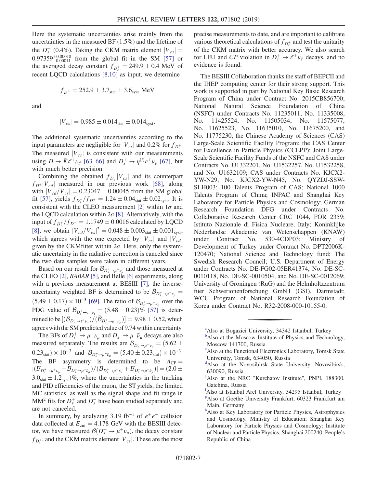Here the systematic uncertainties arise mainly from the uncertainties in the measured BF (1.5%) and the lifetime of the  $D_s^+$  (0.4%). Taking the CKM matrix element  $|V_{cs}| =$ 0.97359<sup>+0.00010</sup> from the global fit in the SM [\[57\]](#page-8-3) or the averaged decay constant  $f_{D_s^+} = 249.9 \pm 0.4$  MeV of recent LQCD calculations [\[8,10\]](#page-7-8) as input, we determine

$$
f_{D_s^+}=252.9\pm3.7_{\rm stat}\pm3.6_{\rm syst}\ \rm{MeV}
$$

and

$$
|V_{cs}| = 0.985 \pm 0.014_{\rm stat} \pm 0.014_{\rm syst}.
$$

The additional systematic uncertainties according to the input parameters are negligible for  $|V_{cs}|$  and 0.2% for  $f_{D_s^+}$ . The measured  $|V_{cs}|$  is consistent with our measurements using  $D \to \bar{K} \ell^+ \nu_\ell$  [\[63](#page-8-9)–66] and  $D_s^+ \to \eta^{(\prime)} e^+ \nu_e$  [\[67\]](#page-8-10), but with much better precision.

Combining the obtained  $f_{D_s^+}|V_{cs}|$  and its counterpart  $f_{D^+}|V_{cd}|$  measured in our previous work [\[68\],](#page-8-11) along with  $|V_{cd}/V_{cs}| = 0.23047 \pm 0.00045$  from the SM global fit [\[57\]](#page-8-3), yields  $f_{D_s^+}/f_{D^+} = 1.24 \pm 0.04_{\text{stat}} \pm 0.02_{\text{syst}}$ . It is consistent with the CLEO measurement [\[2\]](#page-7-4) within  $1\sigma$  and the LQCD calculation within  $2\sigma$  [\[8\].](#page-7-8) Alternatively, with the input of  $f_{D_s^+}/f_{D^+} = 1.1749 \pm 0.0016$  calculated by LQCD [\[8\]](#page-7-8), we obtain  $|V_{cd}/V_{cs}|^2 = 0.048 \pm 0.003_{stat} \pm 0.001_{syst}$ , which agrees with the one expected by  $|V_{cs}|$  and  $|V_{cd}|$ given by the CKMfitter within  $2\sigma$ . Here, only the systematic uncertainty in the radiative correction is canceled since the two data samples were taken in different years.

Based on our result for  $\mathcal{B}_{D_s^+\to\mu^+\nu_\mu}$  and those measured at the CLEO [\[2\]](#page-7-4), BABAR [\[5\],](#page-7-5) and Belle [\[6\]](#page-7-6) experiments, along with a previous measurement at BESIII [\[7\]](#page-7-7), the inverseuncertainty weighted BF is determined to be  $\bar{B}_{D_s^+ \to \mu^+ \nu_\mu}$  $(5.49 \pm 0.17) \times 10^{-3}$  [\[69\]](#page-8-12). The ratio of  $\bar{\mathcal{B}}_{D_s^+ \to \mu^+ \nu_\mu}$  over the PDG value of  $\mathcal{B}_{D_s^+ \to \tau^+ \nu_{\tau}} = (5.48 \pm 0.23)\%$  [\[57\]](#page-8-3) is determined to be  $[(\mathcal{B}_{D^+_s \to \tau^+ \nu_\tau})/(\bar{\mathcal{B}}_{D^+_s \to \mu^+ \nu_\mu})] = 9.98 \pm 0.52$ , which agrees with the SM predicted value of 9.74 within uncertainty.

The BFs of  $D_s^+ \to \mu^+\nu_\mu$  and  $D_s^- \to \mu^-\bar{\nu}_\mu$  decays are also measured separately. The results are  $\mathcal{B}_{D_s^+\to\mu^+\nu_\mu} = (5.62 \pm 1)$  $(0.23<sub>stat</sub>) \times 10^{-3}$  and  $\mathcal{B}_{D_s^-\to\mu^-\bar{\nu}_\mu} = (5.40 \pm 0.23<sub>stat</sub>) \times 10^{-3}$ . The BF asymmetry is determined to be  $A_{\text{CP}} =$  $[(\mathcal{B}_{D^+_s \to \mu^+ \nu_\mu} - \mathcal{B}_{D^-_s \to \mu^- \bar{\nu}_\mu})/(\mathcal{B}_{D^+_s \to \mu^+ \nu_\mu} + \mathcal{B}_{D^-_s \to \mu^- \bar{\nu}_\mu})] = (2.0 \pm 1)$  $3.0<sub>stat</sub> \pm 1.2<sub>syst</sub>$ )%, where the uncertainties in the tracking and PID efficiencies of the muon, the ST yields, the limited MC statistics, as well as the signal shape and fit range in MM<sup>2</sup> fits for  $D_s^+$  and  $D_s^-$  have been studied separately and are not canceled.

In summary, by analyzing 3.19 fb<sup>-1</sup> of  $e^+e^-$  collision data collected at  $E_{cm} = 4.178$  GeV with the BESIII detector, we have measured  $\mathcal{B}(D_s^+ \to \mu^+ \nu_\mu)$ , the decay constant  $f_{D_s^+}$ , and the CKM matrix element  $|V_{cs}|$ . These are the most precise measurements to date, and are important to calibrate various theoretical calculations of  $f_{D_s^+}$  and test the unitarity of the CKM matrix with better accuracy. We also search for LFU and CP violation in  $D_s^+ \rightarrow \ell^+ \nu_\ell$  decays, and no evidence is found.

The BESIII Collaboration thanks the staff of BEPCII and the IHEP computing center for their strong support. This work is supported in part by National Key Basic Research Program of China under Contract No. 2015CB856700; National Natural Science Foundation of China (NSFC) under Contracts No. 11235011, No. 11335008, No. 11425524, No. 11505034, No. 11575077, No. 11625523, No. 11635010, No. 11675200, and No. 11775230; the Chinese Academy of Sciences (CAS) Large-Scale Scientific Facility Program; the CAS Center for Excellence in Particle Physics (CCEPP); Joint Large-Scale Scientific Facility Funds of the NSFC and CAS under Contracts No. U1332201, No. U1532257, No. U1532258, and No. U1632109; CAS under Contracts No. KJCX2- YW-N29, No. KJCX2-YW-N45, No. QYZDJ-SSW-SLH003; 100 Talents Program of CAS; National 1000 Talents Program of China; INPAC and Shanghai Key Laboratory for Particle Physics and Cosmology; German Research Foundation DFG under Contracts No. Collaborative Research Center CRC 1044, FOR 2359; Istituto Nazionale di Fisica Nucleare, Italy; Koninklijke Nederlandse Akademie van Wetenschappen (KNAW) under Contract No. 530-4CDP03; Ministry of Development of Turkey under Contract No. DPT2006K-120470; National Science and Technology fund; The Swedish Research Council; U.S. Department of Energy under Contracts No. DE-FG02-05ER41374, No. DE-SC-0010118, No. DE-SC-0010504, and No. DE-SC-0012069; University of Groningen (RuG) and the Helmholtzzentrum fuer Schwerionenforschung GmbH (GSI), Darmstadt; WCU Program of National Research Foundation of Korea under Contract No. R32-2008-000-10155-0.

<span id="page-6-6"></span><sup>&</sup>lt;sup>[a](#page-0-0)</sup>Also at Bogazici University, 34342 Istanbul, Turkey

<span id="page-6-1"></span><sup>&</sup>lt;sup>[b](#page-0-1)</sup>Also at the Moscow Institute of Physics and Technology, Moscow 141700, Russia

<sup>&</sup>lt;sup>c</sup>Also at the Functional Electronics Laboratory, Tomsk State University, Tomsk, 634050, Russia

<span id="page-6-0"></span>[d](#page-0-2) Also at the Novosibirsk State University, Novosibirsk, 630090, Russia

<span id="page-6-5"></span><sup>&</sup>lt;sup>[e](#page-0-3)</sup>Also at the NRC "Kurchatov Institute", PNPI, 188300, Gatchina, Russia

<span id="page-6-3"></span>[f](#page-0-4) Also at Istanbul Arel University, 34295 Istanbul, Turkey

<span id="page-6-4"></span>[g](#page-0-5) Also at Goethe University Frankfurt, 60323 Frankfurt am Main, Germany

<span id="page-6-2"></span>[h](#page-0-6)Also at Key Laboratory for Particle Physics, Astrophysics and Cosmology, Ministry of Education; Shanghai Key Laboratory for Particle Physics and Cosmology; Institute of Nuclear and Particle Physics, Shanghai 200240, People's Republic of China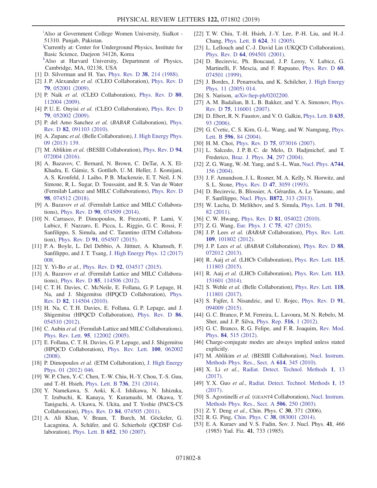<span id="page-7-2"></span><sup>[i](#page-0-7)</sup>Also at Government College Women University, Sialkot -51310. Punjab, Pakistan.

<span id="page-7-1"></span>[j](#page-0-2) Currently at: Center for Underground Physics, Institute for Basic Science, Daejeon 34126, Korea

<span id="page-7-0"></span>[k](#page-0-2)Also at Harvard University, Department of Physics, Cambridge, MA, 02138, USA

- <span id="page-7-3"></span>[1] D. Silverman and H. Yao, [Phys. Rev. D](https://doi.org/10.1103/PhysRevD.38.214) 38, 214 (1988).
- <span id="page-7-4"></span>[2] J. P. Alexander et al. (CLEO Collaboration), [Phys. Rev. D](https://doi.org/10.1103/PhysRevD.79.052001) 79[, 052001 \(2009\).](https://doi.org/10.1103/PhysRevD.79.052001)
- [3] P. Naik et al. (CLEO Collaboration), [Phys. Rev. D](https://doi.org/10.1103/PhysRevD.80.112004) 80, [112004 \(2009\).](https://doi.org/10.1103/PhysRevD.80.112004)
- [4] P. U. E. Onyisi et al. (CLEO Collaboration), [Phys. Rev. D](https://doi.org/10.1103/PhysRevD.79.052002) 79[, 052002 \(2009\).](https://doi.org/10.1103/PhysRevD.79.052002)
- <span id="page-7-5"></span>[5] P. del Amo Sanchez et al. (BABAR Collaboration), [Phys.](https://doi.org/10.1103/PhysRevD.82.091103) Rev. D 82[, 091103 \(2010\)](https://doi.org/10.1103/PhysRevD.82.091103).
- <span id="page-7-6"></span>[6] A. Zupanc *et al.* (Belle Collaboration), [J. High Energy Phys.](https://doi.org/10.1007/JHEP09(2013)139) [09 \(2013\) 139.](https://doi.org/10.1007/JHEP09(2013)139)
- <span id="page-7-7"></span>[7] M. Ablikim et al. (BESIII Collaboration), [Phys. Rev. D](https://doi.org/10.1103/PhysRevD.94.072004) 94, [072004 \(2016\).](https://doi.org/10.1103/PhysRevD.94.072004)
- <span id="page-7-8"></span>[8] A. Bazavov, C. Bernard, N. Brown, C. DeTar, A. X. El-Khadra, E. Gámiz, S. Gottlieb, U. M. Heller, J. Komijani, A. S. Kronfeld, J. Laiho, P. B. Mackenzie, E. T. Neil, J. N. Simone, R. L. Sugar, D. Toussaint, and R. S. Van de Water (Fermilab Lattice and MILC Collaborations), [Phys. Rev. D](https://doi.org/10.1103/PhysRevD.98.074512) 98[, 074512 \(2018\).](https://doi.org/10.1103/PhysRevD.98.074512)
- [9] A. Bazavov et al. (Fermilab Lattice and MILC Collaborations), Phys. Rev. D 90[, 074509 \(2014\).](https://doi.org/10.1103/PhysRevD.90.074509)
- [10] N. Carrasco, P. Dimopoulos, R. Frezzotti, P. Lami, V. Lubicz, F. Nazzaro, E. Picca, L. Riggio, G. C. Rossi, F. Sanfilippo, S. Simula, and C. Tarantino (ETM Collaboration), Phys. Rev. D 91[, 054507 \(2015\).](https://doi.org/10.1103/PhysRevD.91.054507)
- [11] P. A. Boyle, L. Del Debbio, A. Jüttner, A. Khamseh, F. Sanfilippo, and J. T. Tsang, [J. High Energy Phys. 12 \(2017\)](https://doi.org/10.1007/JHEP12(2017)008) [008.](https://doi.org/10.1007/JHEP12(2017)008)
- [12] Y. Yi-Bo et al., Phys. Rev. D 92[, 034517 \(2015\).](https://doi.org/10.1103/PhysRevD.92.034517)
- [13] A. Bazavov et al. (Fermilab Lattice and MILC Collaborations), Phys. Rev. D 85[, 114506 \(2012\).](https://doi.org/10.1103/PhysRevD.85.114506)
- [14] C. T. H. Davies, C. McNeile, E. Follana, G. P. Lepage, H. Na, and J. Shigemitsu (HPQCD Collaboration), [Phys.](https://doi.org/10.1103/PhysRevD.82.114504) Rev. D 82[, 114504 \(2010\)](https://doi.org/10.1103/PhysRevD.82.114504).
- [15] H. Na, C. T. H. Davies, E. Follana, G. P. Lepage, and J. Shigemitsu (HPQCD Collaboration), [Phys. Rev. D](https://doi.org/10.1103/PhysRevD.86.054510) 86, [054510 \(2012\).](https://doi.org/10.1103/PhysRevD.86.054510)
- [16] C. Aubin et al. (Fermilab Lattice and MILC Collaborations), Phys. Rev. Lett. 95[, 122002 \(2005\)](https://doi.org/10.1103/PhysRevLett.95.122002).
- [17] E. Follana, C. T. H. Davies, G. P. Lepage, and J. Shigemitsu (HPQCD Collaboration), [Phys. Rev. Lett.](https://doi.org/10.1103/PhysRevLett.100.062002) 100, 062002 [\(2008\).](https://doi.org/10.1103/PhysRevLett.100.062002)
- [18] P. Dimopoulos et al. (ETM Collaboration), [J. High Energy](https://doi.org/10.1007/JHEP01(2012)046) [Phys. 01 \(2012\) 046.](https://doi.org/10.1007/JHEP01(2012)046)
- [19] W. P. Chen, Y.-C. Chen, T.-W. Chiu, H.-Y. Chou, T.-S. Guu, and T.-H. Hsieh, [Phys. Lett. B](https://doi.org/10.1016/j.physletb.2014.07.025) 736, 231 (2014).
- [20] Y. Namekawa, S. Aoki, K.-I. Ishikawa, N. Ishizuka, T. Izubuchi, K. Kanaya, Y. Kuramashi, M. Okawa, Y. Taniguchi, A. Ukawa, N. Ukita, and T. Yoshie (PACS-CS Collaboration), Phys. Rev. D 84[, 074505 \(2011\)](https://doi.org/10.1103/PhysRevD.84.074505).
- [21] A. Ali Khan, V. Braun, T. Burch, M. Göckeler, G. Lacagnina, A. Schäfer, and G. Schierholz (QCDSF Collaboration), [Phys. Lett. B](https://doi.org/10.1016/j.physletb.2007.06.066) 652, 150 (2007).
- [22] T. W. Chiu, T.-H. Hsieh, J.-Y. Lee, P.-H. Liu, and H.-J. Chang, [Phys. Lett. B](https://doi.org/10.1016/j.physletb.2005.08.009) 624, 31 (2005).
- [23] L. Lellouch and C.-J. David Lin (UKQCD Collaboration), Phys. Rev. D 64[, 094501 \(2001\)](https://doi.org/10.1103/PhysRevD.64.094501).
- [24] D. Becirevic, Ph. Boucaud, J. P. Leroy, V. Lubicz, G. Martinelli, F. Mescia, and F. Rapuano, [Phys. Rev. D](https://doi.org/10.1103/PhysRevD.60.074501) 60, [074501 \(1999\).](https://doi.org/10.1103/PhysRevD.60.074501)
- [25] J. Bordes, J. Penarrocha, and K. Schilcher, [J. High Energy](https://doi.org/10.1088/1126-6708/2005/11/014) [Phys. 11 \(2005\) 014.](https://doi.org/10.1088/1126-6708/2005/11/014)
- [26] S. Narison, [arXiv:hep-ph/0202200](http://arXiv.org/abs/hep-ph/0202200).
- [27] A. M. Badalian, B. L. B. Bakker, and Y. A. Simonov, [Phys.](https://doi.org/10.1103/PhysRevD.75.116001) Rev. D 75[, 116001 \(2007\)](https://doi.org/10.1103/PhysRevD.75.116001).
- [28] D. Ebert, R. N. Faustov, and V. O. Galkin, *[Phys. Lett. B](https://doi.org/10.1016/j.physletb.2006.02.042)* 635, [93 \(2006\).](https://doi.org/10.1016/j.physletb.2006.02.042)
- [29] G. Cvetic, C. S. Kim, G.-L. Wang, and W. Namgung, [Phys.](https://doi.org/10.1016/j.physletb.2004.06.092) Lett. B 596[, 84 \(2004\)](https://doi.org/10.1016/j.physletb.2004.06.092).
- [30] H. M. Choi, Phys. Rev. D **75**[, 073016 \(2007\).](https://doi.org/10.1103/PhysRevD.75.073016)
- [31] L. Salcedo, J.P.B.C. de Melo, D. Hadjmichef, and T. Frederico, [Braz. J. Phys.](https://doi.org/10.1590/S0103-97332004000200034) 34, 297 (2004).
- [32] Z. G. Wang, W.-M. Yang, and S.-L. Wan, [Nucl. Phys.](https://doi.org/10.1016/j.nuclphysa.2004.08.008) A744, [156 \(2004\)](https://doi.org/10.1016/j.nuclphysa.2004.08.008).
- [33] J. F. Amundson, J. L. Rosner, M. A. Kelly, N. Horwitz, and S. L. Stone, Phys. Rev. D 47[, 3059 \(1993\)](https://doi.org/10.1103/PhysRevD.47.3059).
- [34] D. Becirevic, B. Blossier, A. Gérardin, A. Le Yaouanc, and F. Sanfilippo, Nucl. Phys. B872[, 313 \(2013\)](https://doi.org/10.1016/j.nuclphysb.2013.04.008).
- [35] W. Lucha, D. Melikhov, and S. Simula, [Phys. Lett. B](https://doi.org/10.1016/j.physletb.2011.05.031) 701, [82 \(2011\).](https://doi.org/10.1016/j.physletb.2011.05.031)
- [36] C. W. Hwang, Phys. Rev. D **81**[, 054022 \(2010\).](https://doi.org/10.1103/PhysRevD.81.054022)
- <span id="page-7-9"></span>[37] Z.G. Wang, [Eur. Phys. J. C](https://doi.org/10.1140/epjc/s10052-015-3653-9) **75**, 427 (2015).
- [38] J. P. Lees et al. (BABAR Collaboration), [Phys. Rev. Lett.](https://doi.org/10.1103/PhysRevLett.109.101802) 109[, 101802 \(2012\).](https://doi.org/10.1103/PhysRevLett.109.101802)
- [39] J.P. Lees et al. (BABAR Collaboration), [Phys. Rev. D](https://doi.org/10.1103/PhysRevD.88.072012) 88, [072012 \(2013\).](https://doi.org/10.1103/PhysRevD.88.072012)
- [40] R. Aaij et al. (LHCb Collaboration), [Phys. Rev. Lett.](https://doi.org/10.1103/PhysRevLett.115.111803) 115, [111803 \(2015\).](https://doi.org/10.1103/PhysRevLett.115.111803)
- [41] R. Aaij et al. (LHCb Collaboration), [Phys. Rev. Lett.](https://doi.org/10.1103/PhysRevLett.113.151601) 113, [151601 \(2014\).](https://doi.org/10.1103/PhysRevLett.113.151601)
- [42] S. Wehle et al. (Belle Collaboration), [Phys. Rev. Lett.](https://doi.org/10.1103/PhysRevLett.118.111801) 118, [111801 \(2017\).](https://doi.org/10.1103/PhysRevLett.118.111801)
- <span id="page-7-10"></span>[43] S. Fajfer, I. Nisandzic, and U. Rojec, [Phys. Rev. D](https://doi.org/10.1103/PhysRevD.91.094009) 91, [094009 \(2015\).](https://doi.org/10.1103/PhysRevD.91.094009)
- [44] G. C. Branco, P. M. Ferreira, L. Lavoura, M. N. Rebelo, M. Sher, and J. P. Silva, [Phys. Rep.](https://doi.org/10.1016/j.physrep.2012.02.002) 516, 1 (2012).
- <span id="page-7-11"></span>[45] G. C. Branco, R. G. Felipe, and F. R. Joaquim, [Rev. Mod.](https://doi.org/10.1103/RevModPhys.84.515) Phys. 84[, 515 \(2012\).](https://doi.org/10.1103/RevModPhys.84.515)
- <span id="page-7-12"></span>[46] Charge-conjugate modes are always implied unless stated explicitly.
- <span id="page-7-13"></span>[47] M. Ablikim et al. (BESIII Collaboration), [Nucl. Instrum.](https://doi.org/10.1016/j.nima.2009.12.050) [Methods Phys. Res., Sect. A](https://doi.org/10.1016/j.nima.2009.12.050) 614, 345 (2010).
- <span id="page-7-14"></span>[48] X. Li et al., [Radiat. Detect. Technol. Methods](https://doi.org/10.1007/s41605-017-0014-2) 1, 13 [\(2017\).](https://doi.org/10.1007/s41605-017-0014-2)
- [49] Y.X. Guo et al., [Radiat. Detect. Technol. Methods](https://doi.org/10.1007/s41605-017-0012-4) 1, 15 [\(2017\).](https://doi.org/10.1007/s41605-017-0012-4)
- <span id="page-7-15"></span>[50] S. Agostinelli et al. (GEANT4 Collaboration), [Nucl. Instrum.](https://doi.org/10.1016/S0168-9002(03)01368-8) [Methods Phys. Res., Sect. A](https://doi.org/10.1016/S0168-9002(03)01368-8) 506, 250 (2003).
- <span id="page-7-17"></span><span id="page-7-16"></span>[51] Z. Y. Deng et al., Chin. Phys. C 30, 371 (2006).
- <span id="page-7-18"></span>[52] R. G. Ping, Chin. Phys. C 38[, 083001 \(2014\)](https://doi.org/10.1088/1674-1137/38/8/083001).
- [53] E. A. Kuraev and V. S. Fadin, Sov. J. Nucl. Phys. 41, 466 (1985) Yad. Fiz. 41, 733 (1985).